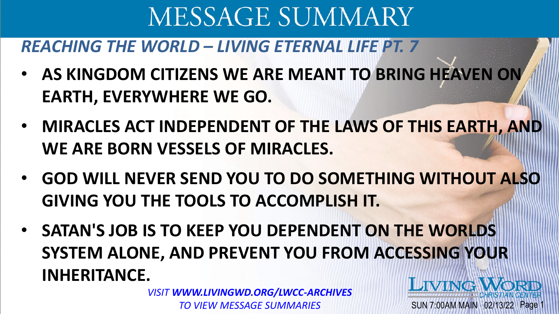#### *REACHING THE WORLD – LIVING ETERNAL LIFE PT. 7*

- **AS KINGDOM CITIZENS WE ARE MEANT TO BRING HEAVEN ON EARTH, EVERYWHERE WE GO.**
- **MIRACLES ACT INDEPENDENT OF THE LAWS OF THIS EARTH, AND WE ARE BORN VESSELS OF MIRACLES.**
- **GOD WILL NEVER SEND YOU TO DO SOMETHING WITHOUT ALSO GIVING YOU THE TOOLS TO ACCOMPLISH IT.**

SUN 7:00AM MAIN 02/13/22 Page

• **SATAN'S JOB IS TO KEEP YOU DEPENDENT ON THE WORLDS SYSTEM ALONE, AND PREVENT YOU FROM ACCESSING YOUR INHERITANCE. LIVING WORL** 

*VISIT WWW.LIVINGWD.ORG/LWCC-ARCHIVES TO VIEW MESSAGE SUMMARIES*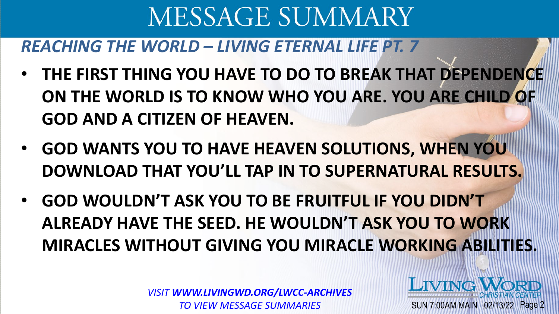### *REACHING THE WORLD – LIVING ETERNAL LIFE PT. 7*

- **THE FIRST THING YOU HAVE TO DO TO BREAK THAT DEPENDENCE ON THE WORLD IS TO KNOW WHO YOU ARE. YOU ARE CHILD OF GOD AND A CITIZEN OF HEAVEN.**
- **GOD WANTS YOU TO HAVE HEAVEN SOLUTIONS, WHEN YOU DOWNLOAD THAT YOU'LL TAP IN TO SUPERNATURAL RESULTS.**
- **GOD WOULDN'T ASK YOU TO BE FRUITFUL IF YOU DIDN'T ALREADY HAVE THE SEED. HE WOULDN'T ASK YOU TO WORK MIRACLES WITHOUT GIVING YOU MIRACLE WORKING ABILITIES.**

*VISIT WWW.LIVINGWD.ORG/LWCC-ARCHIVES TO VIEW MESSAGE SUMMARIES*

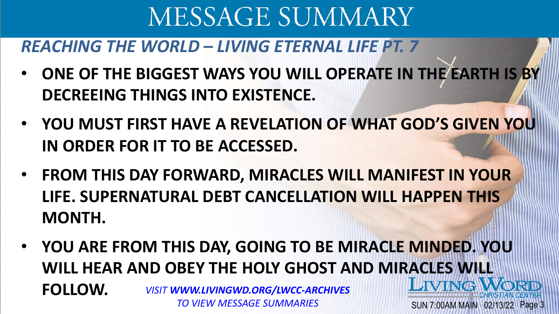#### *REACHING THE WORLD – LIVING ETERNAL LIFE PT. 7*

- **ONE OF THE BIGGEST WAYS YOU WILL OPERATE IN THE EARTH IS BY DECREEING THINGS INTO EXISTENCE.**
- **YOU MUST FIRST HAVE A REVELATION OF WHAT GOD'S GIVEN YOU IN ORDER FOR IT TO BE ACCESSED.**
- **FROM THIS DAY FORWARD, MIRACLES WILL MANIFEST IN YOUR LIFE. SUPERNATURAL DEBT CANCELLATION WILL HAPPEN THIS MONTH.**
- **YOU ARE FROM THIS DAY, GOING TO BE MIRACLE MINDED. YOU WILL HEAR AND OBEY THE HOLY GHOST AND MIRACLES WILL I JVING FOLLOW.** *VISIT WWW.LIVINGWD.ORG/LWCC-ARCHIVES TO VIEW MESSAGE SUMMARIES*SUN 7:00AM MAIN 02/13/22 Page 3